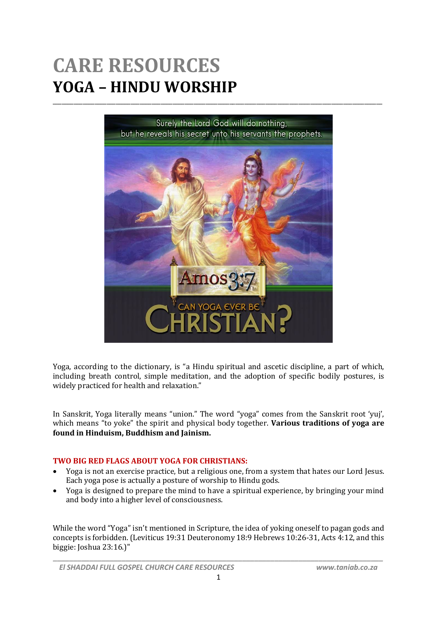## **CARE RESOURCES YOGA – HINDU WORSHIP**



Yoga, according to the dictionary, is "a Hindu spiritual and ascetic discipline, a part of which, including breath control, simple meditation, and the adoption of specific bodily postures, is widely practiced for health and relaxation."

In Sanskrit, Yoga literally means "union." The word "yoga" comes from the Sanskrit root 'yuj', which means "to yoke" the spirit and physical body together. **Various traditions of yoga are found in Hinduism, Buddhism and Jainism.**

## **TWO BIG RED FLAGS ABOUT YOGA FOR CHRISTIANS:**

- Yoga is not an exercise practice, but a religious one, from a system that hates our Lord Jesus. Each yoga pose is actually a posture of worship to Hindu gods.
- Yoga is designed to prepare the mind to have a spiritual experience, by bringing your mind and body into a higher level of consciousness.

While the word "Yoga" isn't mentioned in Scripture, the idea of yoking oneself to pagan gods and concepts is forbidden. (Leviticus 19:31 Deuteronomy 18:9 Hebrews 10:26-31, Acts 4:12, and this biggie: Joshua 23:16.)"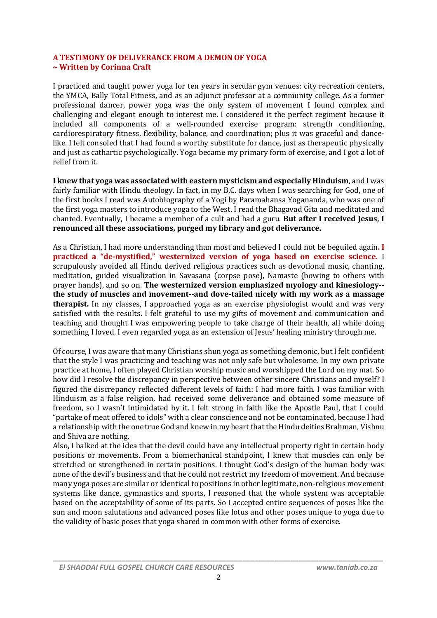## **A TESTIMONY OF DELIVERANCE FROM A DEMON OF YOGA ~ Written by Corinna Craft**

I practiced and taught power yoga for ten years in secular gym venues: city recreation centers, the YMCA, Bally Total Fitness, and as an adjunct professor at a community college. As a former professional dancer, power yoga was the only system of movement I found complex and challenging and elegant enough to interest me. I considered it the perfect regiment because it included all components of a well-rounded exercise program: strength conditioning, cardiorespiratory fitness, flexibility, balance, and coordination; plus it was graceful and dancelike. I felt consoled that I had found a worthy substitute for dance, just as therapeutic physically and just as cathartic psychologically. Yoga became my primary form of exercise, and I got a lot of relief from it.

**I knew that yoga was associated with eastern mysticism and especially Hinduism**, and I was fairly familiar with Hindu theology. In fact, in my B.C. days when I was searching for God, one of the first books I read was Autobiography of a Yogi by Paramahansa Yogananda, who was one of the first yoga masters to introduce yoga to the West. I read the Bhagavad Gita and meditated and chanted. Eventually, I became a member of a cult and had a guru. **But after I received Jesus, I renounced all these associations, purged my library and got deliverance.**

As a Christian, I had more understanding than most and believed I could not be beguiled again**. I practiced a "de-mystified," westernized version of yoga based on exercise science.** I scrupulously avoided all Hindu derived religious practices such as devotional music, chanting, meditation, guided visualization in Savasana (corpse pose), Namaste (bowing to others with prayer hands), and so on. **The westernized version emphasized myology and kinesiology- the study of muscles and movement--and dove-tailed nicely with my work as a massage therapist.** In my classes, I approached yoga as an exercise physiologist would and was very satisfied with the results. I felt grateful to use my gifts of movement and communication and teaching and thought I was empowering people to take charge of their health, all while doing something I loved. I even regarded yoga as an extension of Jesus' healing ministry through me.

Of course, I was aware that many Christians shun yoga as something demonic, but I felt confident that the style I was practicing and teaching was not only safe but wholesome. In my own private practice at home, I often played Christian worship music and worshipped the Lord on my mat. So how did I resolve the discrepancy in perspective between other sincere Christians and myself? I figured the discrepancy reflected different levels of faith: I had more faith. I was familiar with Hinduism as a false religion, had received some deliverance and obtained some measure of freedom, so I wasn't intimidated by it. I felt strong in faith like the Apostle Paul, that I could "partake of meat offered to idols" with a clear conscience and not be contaminated, because I had a relationship with the one true God and knew in my heart that the Hindu deities Brahman, Vishnu and Shiva are nothing.

Also, I balked at the idea that the devil could have any intellectual property right in certain body positions or movements. From a biomechanical standpoint, I knew that muscles can only be stretched or strengthened in certain positions. I thought God's design of the human body was none of the devil's business and that he could not restrict my freedom of movement. And because many yoga poses are similar or identical to positions in other legitimate, non-religious movement systems like dance, gymnastics and sports, I reasoned that the whole system was acceptable based on the acceptability of some of its parts. So I accepted entire sequences of poses like the sun and moon salutations and advanced poses like lotus and other poses unique to yoga due to the validity of basic poses that yoga shared in common with other forms of exercise.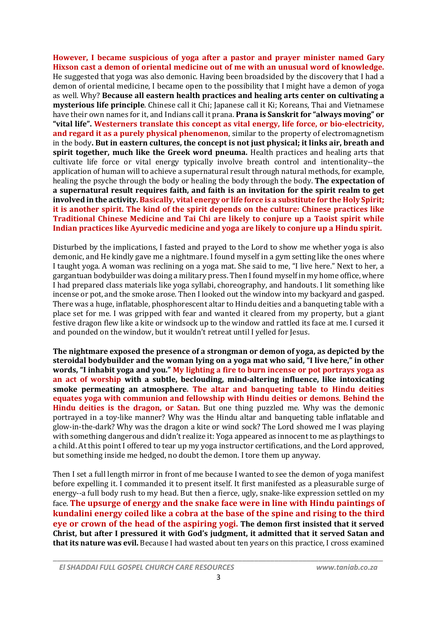**However, I became suspicious of yoga after a pastor and prayer minister named Gary Hixson cast a demon of oriental medicine out of me with an unusual word of knowledge.** He suggested that yoga was also demonic. Having been broadsided by the discovery that I had a demon of oriental medicine, I became open to the possibility that I might have a demon of yoga as well. Why? **Because all eastern health practices and healing arts center on cultivating a mysterious life principle**. Chinese call it Chi; Japanese call it Ki; Koreans, Thai and Vietnamese have their own names for it, and Indians call it prana. **Prana is Sanskrit for "always moving" or "vital life". Westerners translate this concept as vital energy, life force, or bio-electricity, and regard it as a purely physical phenomenon**, similar to the property of electromagnetism in the body**. But in eastern cultures, the concept is not just physical; it links air, breath and spirit together, much like the Greek word pneuma.** Health practices and healing arts that cultivate life force or vital energy typically involve breath control and intentionality--the application of human will to achieve a supernatural result through natural methods, for example, healing the psyche through the body or healing the body through the body. **The expectation of a supernatural result requires faith, and faith is an invitation for the spirit realm to get involved in the activity. Basically, vital energy or life force is a substitute for the Holy Spirit; it is another spirit. The kind of the spirit depends on the culture: Chinese practices like Traditional Chinese Medicine and Tai Chi are likely to conjure up a Taoist spirit while Indian practices like Ayurvedic medicine and yoga are likely to conjure up a Hindu spirit.**

Disturbed by the implications, I fasted and prayed to the Lord to show me whether yoga is also demonic, and He kindly gave me a nightmare. I found myself in a gym setting like the ones where I taught yoga. A woman was reclining on a yoga mat. She said to me, "I live here." Next to her, a gargantuan bodybuilder was doing a military press. Then I found myself in my home office, where I had prepared class materials like yoga syllabi, choreography, and handouts. I lit something like incense or pot, and the smoke arose. Then I looked out the window into my backyard and gasped. There was a huge, inflatable, phosphorescent altar to Hindu deities and a banqueting table with a place set for me. I was gripped with fear and wanted it cleared from my property, but a giant festive dragon flew like a kite or windsock up to the window and rattled its face at me. I cursed it and pounded on the window, but it wouldn't retreat until I yelled for Jesus.

**The nightmare exposed the presence of a strongman or demon of yoga, as depicted by the steroidal bodybuilder and the woman lying on a yoga mat who said, "I live here," in other words, "I inhabit yoga and you." My lighting a fire to burn incense or pot portrays yoga as an act of worship with a subtle, beclouding, mind-altering influence, like intoxicating smoke permeating an atmosphere. The altar and banqueting table to Hindu deities equates yoga with communion and fellowship with Hindu deities or demons**. **Behind the Hindu deities is the dragon, or Satan.** But one thing puzzled me. Why was the demonic portrayed in a toy-like manner? Why was the Hindu altar and banqueting table inflatable and glow-in-the-dark? Why was the dragon a kite or wind sock? The Lord showed me I was playing with something dangerous and didn't realize it: Yoga appeared as innocent to me as playthings to a child. At this point I offered to tear up my yoga instructor certifications, and the Lord approved, but something inside me hedged, no doubt the demon. I tore them up anyway.

Then I set a full length mirror in front of me because I wanted to see the demon of yoga manifest before expelling it. I commanded it to present itself. It first manifested as a pleasurable surge of energy--a full body rush to my head. But then a fierce, ugly, snake-like expression settled on my face. **The upsurge of energy and the snake face were in line with Hindu paintings of kundalini energy coiled like a cobra at the base of the spine and rising to the third eye or crown of the head of the aspiring yogi. The demon first insisted that it served Christ, but after I pressured it with God's judgment, it admitted that it served Satan and that its nature was evil.** Because I had wasted about ten years on this practice, I cross examined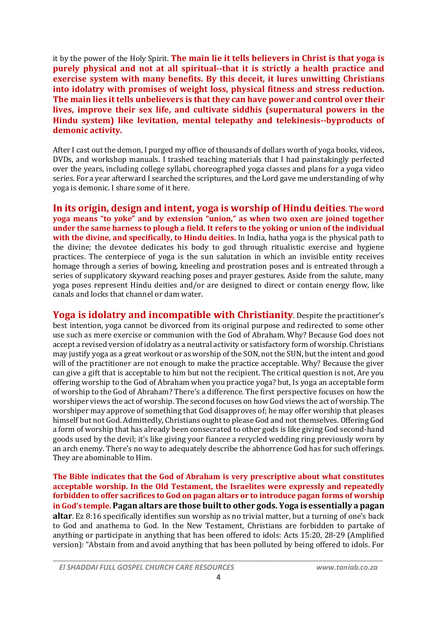it by the power of the Holy Spirit. **The main lie it tells believers in Christ is that yoga is purely physical and not at all spiritual--that it is strictly a health practice and exercise system with many benefits. By this deceit, it lures unwitting Christians into idolatry with promises of weight loss, physical fitness and stress reduction. The main lies it tells unbelievers is that they can have power and control over their lives, improve their sex life, and cultivate siddhis (supernatural powers in the Hindu system) like levitation, mental telepathy and telekinesis--byproducts of demonic activity.**

After I cast out the demon, I purged my office of thousands of dollars worth of yoga books, videos, DVDs, and workshop manuals. I trashed teaching materials that I had painstakingly perfected over the years, including college syllabi, choreographed yoga classes and plans for a yoga video series. For a year afterward I searched the scriptures, and the Lord gave me understanding of why yoga is demonic. I share some of it here.

**In its origin, design and intent, yoga is worship of Hindu deities**. **The word yoga means "to yoke" and by extension "union," as when two oxen are joined together under the same harness to plough a field. It refers to the yoking or union of the individual with the divine, and specifically, to Hindu deities.** In India, hatha yoga is the physical path to the divine; the devotee dedicates his body to god through ritualistic exercise and hygiene practices. The centerpiece of yoga is the sun salutation in which an invisible entity receives homage through a series of bowing, kneeling and prostration poses and is entreated through a series of supplicatory skyward reaching poses and prayer gestures. Aside from the salute, many yoga poses represent Hindu deities and/or are designed to direct or contain energy flow, like canals and locks that channel or dam water.

**Yoga is idolatry and incompatible with Christianity**. Despite the practitioner's best intention, yoga cannot be divorced from its original purpose and redirected to some other use such as mere exercise or communion with the God of Abraham. Why? Because God does not accept a revised version of idolatry as a neutral activity or satisfactory form of worship. Christians may justify yoga as a great workout or as worship of the SON, not the SUN, but the intent and good will of the practitioner are not enough to make the practice acceptable. Why? Because the giver can give a gift that is acceptable to him but not the recipient. The critical question is not, Are you offering worship to the God of Abraham when you practice yoga? but, Is yoga an acceptable form of worship to the God of Abraham? There's a difference. The first perspective focuses on how the worshiper views the act of worship. The second focuses on how God views the act of worship. The worshiper may approve of something that God disapproves of; he may offer worship that pleases himself but not God. Admittedly, Christians ought to please God and not themselves. Offering God a form of worship that has already been consecrated to other gods is like giving God second-hand goods used by the devil; it's like giving your fiancee a recycled wedding ring previously worn by an arch enemy. There's no way to adequately describe the abhorrence God has for such offerings. They are abominable to Him.

**The Bible indicates that the God of Abraham is very prescriptive about what constitutes acceptable worship. In the Old Testament, the Israelites were expressly and repeatedly forbidden to offer sacrifices to God on pagan altars or to introduce pagan forms of worship in God's temple. Pagan altars are those built to other gods. Yoga is essentially a pagan altar**. Ez 8:16 specifically identifies sun worship as no trivial matter, but a turning of one's back to God and anathema to God. In the New Testament, Christians are forbidden to partake of anything or participate in anything that has been offered to idols: Acts 15:20, 28-29 (Amplified version): "Abstain from and avoid anything that has been polluted by being offered to idols. For